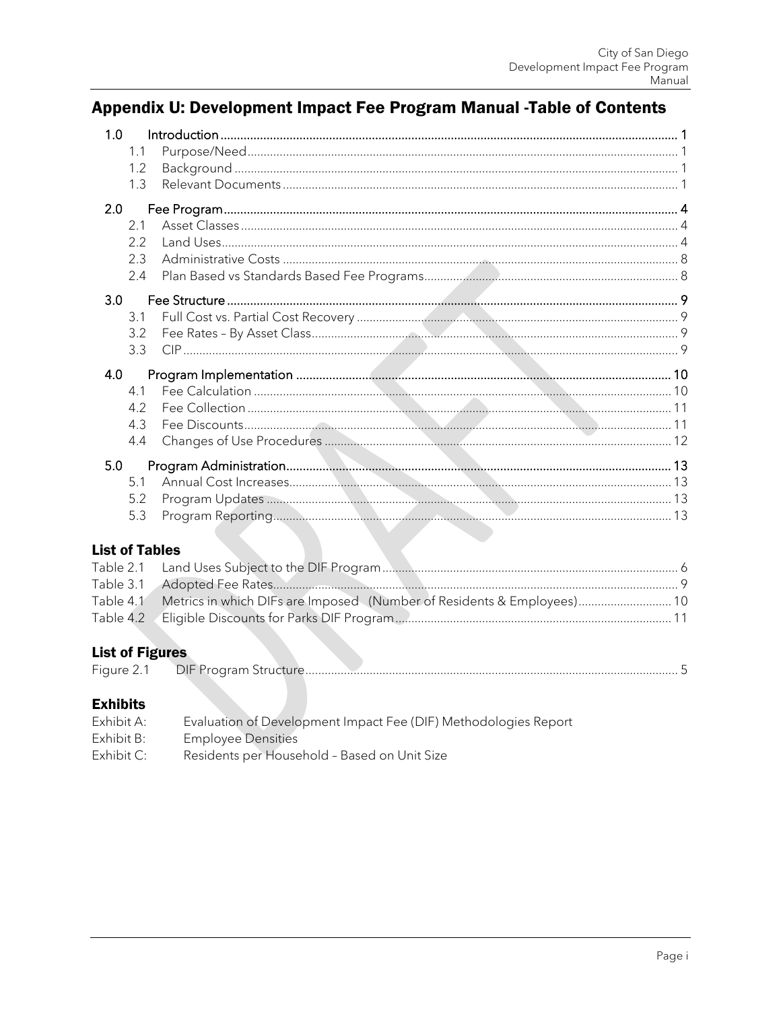# Appendix U: Development Impact Fee Program Manual -Table of Contents

| 1.0 |     |  |
|-----|-----|--|
|     | 1.1 |  |
|     | 1.2 |  |
|     | 1.3 |  |
| 2.0 |     |  |
| 2.1 |     |  |
| 2.2 |     |  |
| 2.3 |     |  |
| 2.4 |     |  |
| 3.0 |     |  |
| 3.1 |     |  |
| 3.2 |     |  |
|     | 3.3 |  |
| 4.0 |     |  |
| 4.1 |     |  |
| 4.2 |     |  |
| 4.3 |     |  |
| 4.4 |     |  |
| 5.0 |     |  |
| 5.1 |     |  |
| 5.2 |     |  |
| 5.3 |     |  |
|     |     |  |

## **List of Tables**

| Table 4.1 Metrics in which DIFs are Imposed (Number of Residents & Employees) 10 |  |
|----------------------------------------------------------------------------------|--|
|                                                                                  |  |

## **List of Figures**

| $\overline{\phantom{a}}$ |                                  |  |
|--------------------------|----------------------------------|--|
|                          | וור<br>DIE<br>am<br>$\mathbf{r}$ |  |
|                          | .                                |  |
|                          |                                  |  |

## **Exhibits**

| Exhibit A: | Evaluation of Development Impact Fee (DIF) Methodologies Report |
|------------|-----------------------------------------------------------------|
| Exhibit B: | <b>Employee Densities</b>                                       |
| Exhibit C: | Residents per Household - Based on Unit Size                    |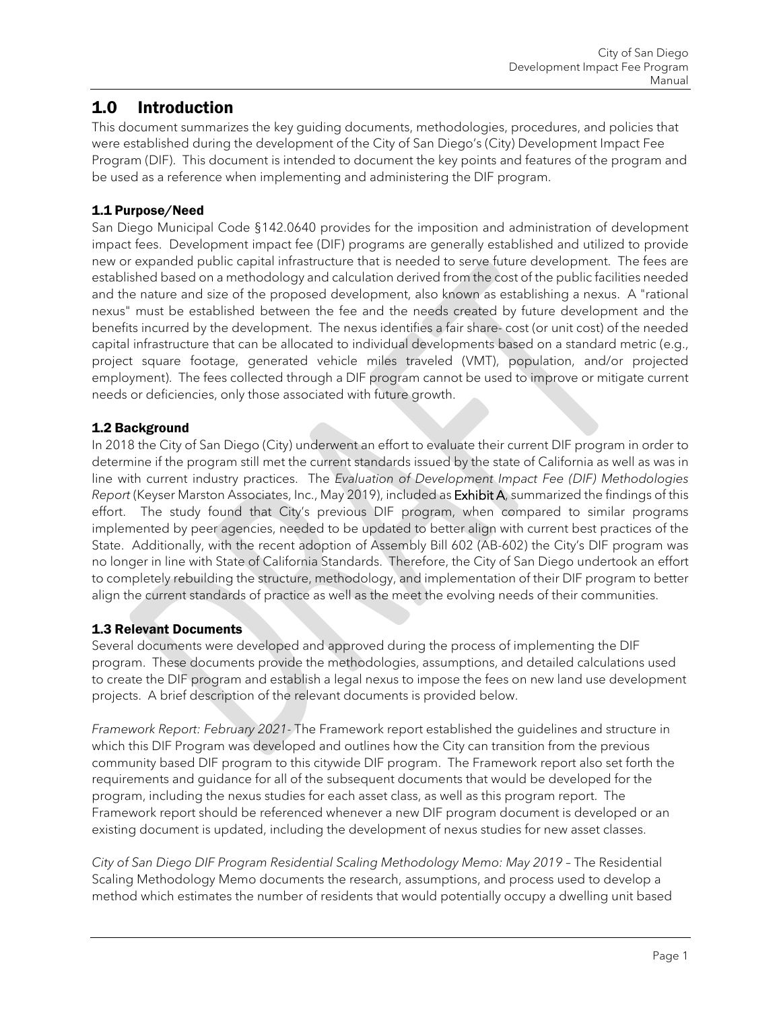## <span id="page-1-0"></span>1.0 Introduction

This document summarizes the key guiding documents, methodologies, procedures, and policies that were established during the development of the City of San Diego's (City) Development Impact Fee Program (DIF). This document is intended to document the key points and features of the program and be used as a reference when implementing and administering the DIF program.

## <span id="page-1-1"></span>1.1 Purpose/Need

San Diego Municipal Code §142.0640 provides for the imposition and administration of development impact fees. Development impact fee (DIF) programs are generally established and utilized to provide new or expanded public capital infrastructure that is needed to serve future development. The fees are established based on a methodology and calculation derived from the cost of the public facilities needed and the nature and size of the proposed development, also known as establishing a nexus. A "rational nexus" must be established between the fee and the needs created by future development and the benefits incurred by the development. The nexus identifies a fair share- cost (or unit cost) of the needed capital infrastructure that can be allocated to individual developments based on a standard metric (e.g., project square footage, generated vehicle miles traveled (VMT), population, and/or projected employment). The fees collected through a DIF program cannot be used to improve or mitigate current needs or deficiencies, only those associated with future growth.

## <span id="page-1-2"></span>1.2 Background

In 2018 the City of San Diego (City) underwent an effort to evaluate their current DIF program in order to determine if the program still met the current standards issued by the state of California as well as was in line with current industry practices. The *Evaluation of Development Impact Fee (DIF) Methodologies Report* (Keyser Marston Associates, Inc., May 2019), included as Exhibit A, summarized the findings of this effort. The study found that City's previous DIF program, when compared to similar programs implemented by peer agencies, needed to be updated to better align with current best practices of the State. Additionally, with the recent adoption of Assembly Bill 602 (AB-602) the City's DIF program was no longer in line with State of California Standards. Therefore, the City of San Diego undertook an effort to completely rebuilding the structure, methodology, and implementation of their DIF program to better align the current standards of practice as well as the meet the evolving needs of their communities.

## <span id="page-1-3"></span>1.3 Relevant Documents

Several documents were developed and approved during the process of implementing the DIF program. These documents provide the methodologies, assumptions, and detailed calculations used to create the DIF program and establish a legal nexus to impose the fees on new land use development projects. A brief description of the relevant documents is provided below.

*Framework Report: February 2021*- The Framework report established the guidelines and structure in which this DIF Program was developed and outlines how the City can transition from the previous community based DIF program to this citywide DIF program. The Framework report also set forth the requirements and guidance for all of the subsequent documents that would be developed for the program, including the nexus studies for each asset class, as well as this program report. The Framework report should be referenced whenever a new DIF program document is developed or an existing document is updated, including the development of nexus studies for new asset classes.

*City of San Diego DIF Program Residential Scaling Methodology Memo: May 2019* – The Residential Scaling Methodology Memo documents the research, assumptions, and process used to develop a method which estimates the number of residents that would potentially occupy a dwelling unit based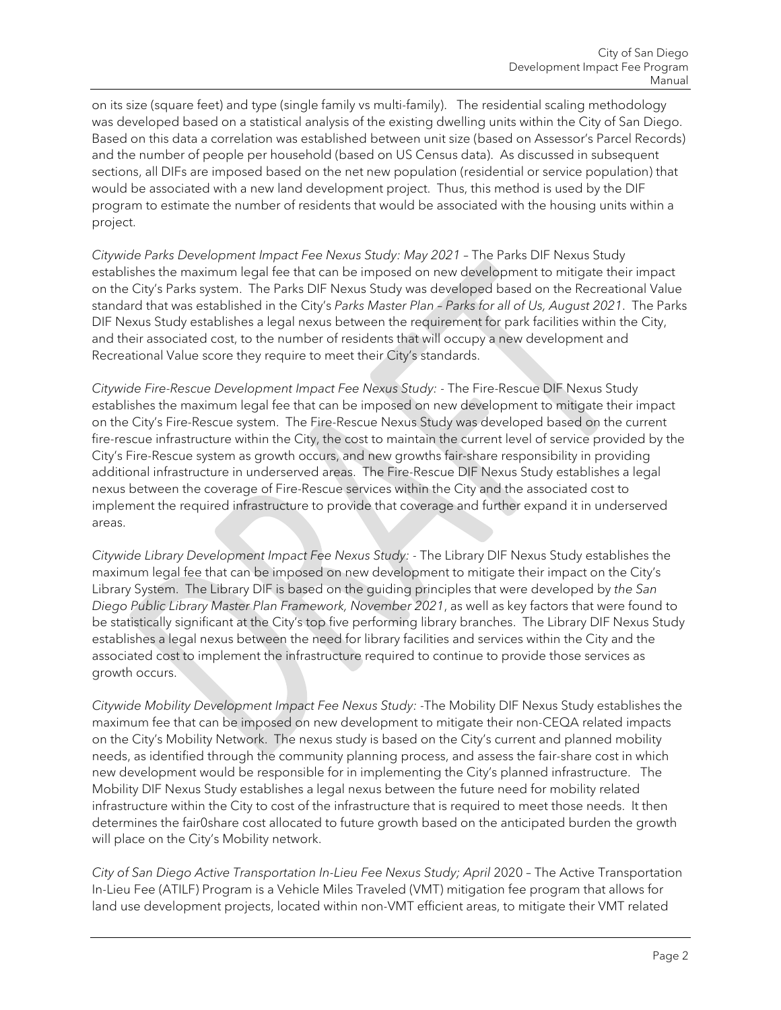on its size (square feet) and type (single family vs multi-family). The residential scaling methodology was developed based on a statistical analysis of the existing dwelling units within the City of San Diego. Based on this data a correlation was established between unit size (based on Assessor's Parcel Records) and the number of people per household (based on US Census data). As discussed in subsequent sections, all DIFs are imposed based on the net new population (residential or service population) that would be associated with a new land development project. Thus, this method is used by the DIF program to estimate the number of residents that would be associated with the housing units within a project.

*Citywide Parks Development Impact Fee Nexus Study: May 2021* – The Parks DIF Nexus Study establishes the maximum legal fee that can be imposed on new development to mitigate their impact on the City's Parks system. The Parks DIF Nexus Study was developed based on the Recreational Value standard that was established in the City's *Parks Master Plan – Parks for all of Us, August 2021*. The Parks DIF Nexus Study establishes a legal nexus between the requirement for park facilities within the City, and their associated cost, to the number of residents that will occupy a new development and Recreational Value score they require to meet their City's standards.

*Citywide Fire-Rescue Development Impact Fee Nexus Study: -* The Fire-Rescue DIF Nexus Study establishes the maximum legal fee that can be imposed on new development to mitigate their impact on the City's Fire-Rescue system. The Fire-Rescue Nexus Study was developed based on the current fire-rescue infrastructure within the City, the cost to maintain the current level of service provided by the City's Fire-Rescue system as growth occurs, and new growths fair-share responsibility in providing additional infrastructure in underserved areas. The Fire-Rescue DIF Nexus Study establishes a legal nexus between the coverage of Fire-Rescue services within the City and the associated cost to implement the required infrastructure to provide that coverage and further expand it in underserved areas.

*Citywide Library Development Impact Fee Nexus Study: -* The Library DIF Nexus Study establishes the maximum legal fee that can be imposed on new development to mitigate their impact on the City's Library System. The Library DIF is based on the guiding principles that were developed by *the San Diego Public Library Master Plan Framework, November 2021*, as well as key factors that were found to be statistically significant at the City's top five performing library branches. The Library DIF Nexus Study establishes a legal nexus between the need for library facilities and services within the City and the associated cost to implement the infrastructure required to continue to provide those services as growth occurs.

*Citywide Mobility Development Impact Fee Nexus Study: -*The Mobility DIF Nexus Study establishes the maximum fee that can be imposed on new development to mitigate their non-CEQA related impacts on the City's Mobility Network. The nexus study is based on the City's current and planned mobility needs, as identified through the community planning process, and assess the fair-share cost in which new development would be responsible for in implementing the City's planned infrastructure. The Mobility DIF Nexus Study establishes a legal nexus between the future need for mobility related infrastructure within the City to cost of the infrastructure that is required to meet those needs. It then determines the fair0share cost allocated to future growth based on the anticipated burden the growth will place on the City's Mobility network.

*City of San Diego Active Transportation In-Lieu Fee Nexus Study; April* 2020 – The Active Transportation In-Lieu Fee (ATILF) Program is a Vehicle Miles Traveled (VMT) mitigation fee program that allows for land use development projects, located within non-VMT efficient areas, to mitigate their VMT related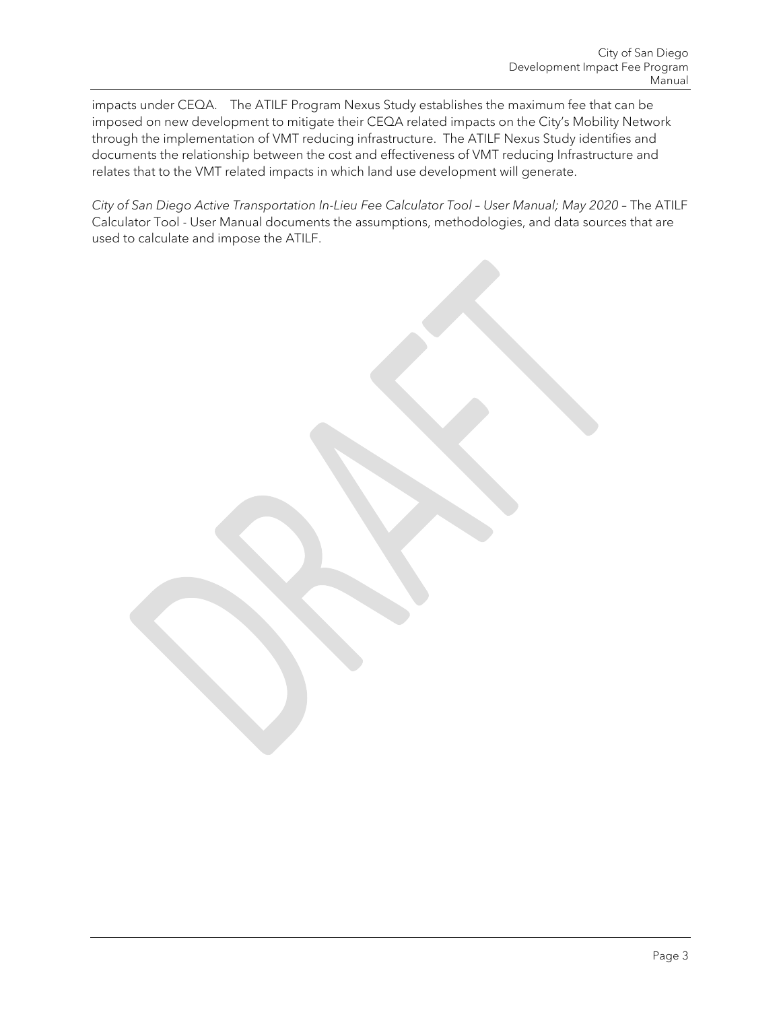impacts under CEQA. The ATILF Program Nexus Study establishes the maximum fee that can be imposed on new development to mitigate their CEQA related impacts on the City's Mobility Network through the implementation of VMT reducing infrastructure. The ATILF Nexus Study identifies and documents the relationship between the cost and effectiveness of VMT reducing Infrastructure and relates that to the VMT related impacts in which land use development will generate.

*City of San Diego Active Transportation In-Lieu Fee Calculator Tool – User Manual; May 2020* – The ATILF Calculator Tool - User Manual documents the assumptions, methodologies, and data sources that are used to calculate and impose the ATILF.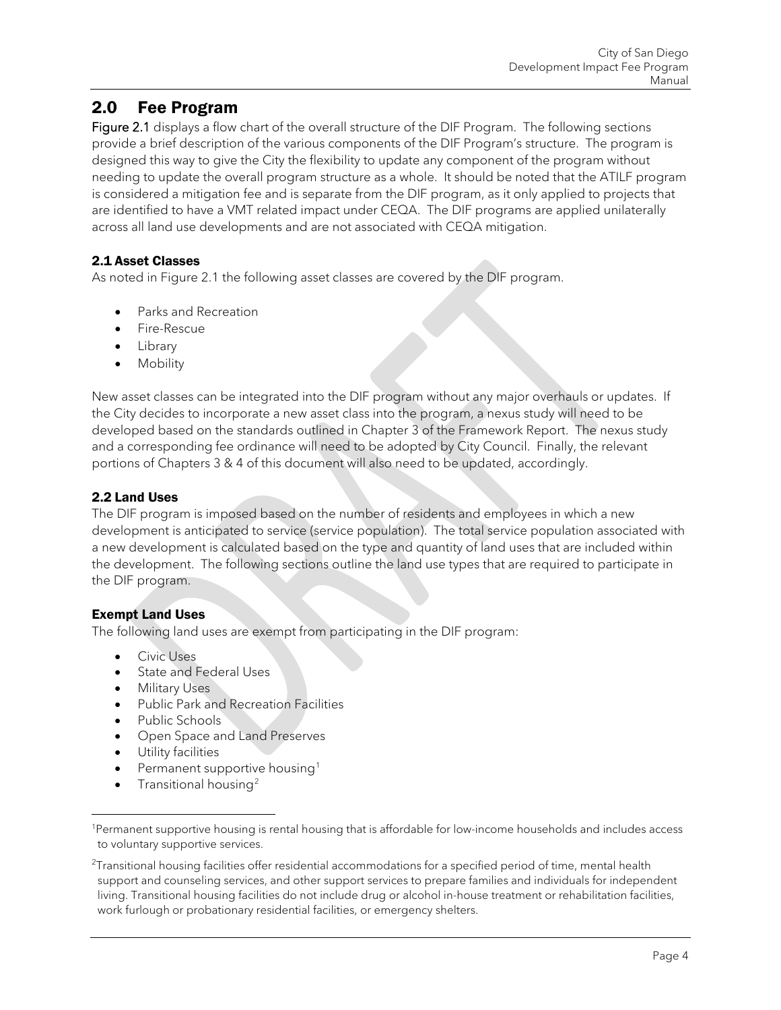## <span id="page-4-0"></span>2.0 Fee Program

Figure 2.1 displays a flow chart of the overall structure of the DIF Program. The following sections provide a brief description of the various components of the DIF Program's structure. The program is designed this way to give the City the flexibility to update any component of the program without needing to update the overall program structure as a whole. It should be noted that the ATILF program is considered a mitigation fee and is separate from the DIF program, as it only applied to projects that are identified to have a VMT related impact under CEQA. The DIF programs are applied unilaterally across all land use developments and are not associated with CEQA mitigation.

## <span id="page-4-1"></span>2.1 Asset Classes

As noted in Figure 2.1 the following asset classes are covered by the DIF program.

- Parks and Recreation
- Fire-Rescue
- Library
- Mobility

New asset classes can be integrated into the DIF program without any major overhauls or updates. If the City decides to incorporate a new asset class into the program, a nexus study will need to be developed based on the standards outlined in Chapter 3 of the Framework Report. The nexus study and a corresponding fee ordinance will need to be adopted by City Council. Finally, the relevant portions of Chapters 3 & 4 of this document will also need to be updated, accordingly.

## <span id="page-4-2"></span>2.2 Land Uses

The DIF program is imposed based on the number of residents and employees in which a new development is anticipated to service (service population). The total service population associated with a new development is calculated based on the type and quantity of land uses that are included within the development. The following sections outline the land use types that are required to participate in the DIF program.

## Exempt Land Uses

The following land uses are exempt from participating in the DIF program:

- Civic Uses
- State and Federal Uses
- Military Uses
- Public Park and Recreation Facilities
- Public Schools
- Open Space and Land Preserves
- Utility facilities
- Permanent supportive housing<sup>[1](#page-4-3)</sup>
- Transitional housing[2](#page-4-4)

<span id="page-4-3"></span><sup>1</sup>Permanent supportive housing is rental housing that is affordable for low-income households and includes access to voluntary supportive services.

<span id="page-4-4"></span> $^{2}$ Transitional housing facilities offer residential accommodations for a specified period of time, mental health support and counseling services, and other support services to prepare families and individuals for independent living. Transitional housing facilities do not include drug or alcohol in-house treatment or rehabilitation facilities, work furlough or probationary residential facilities, or emergency shelters.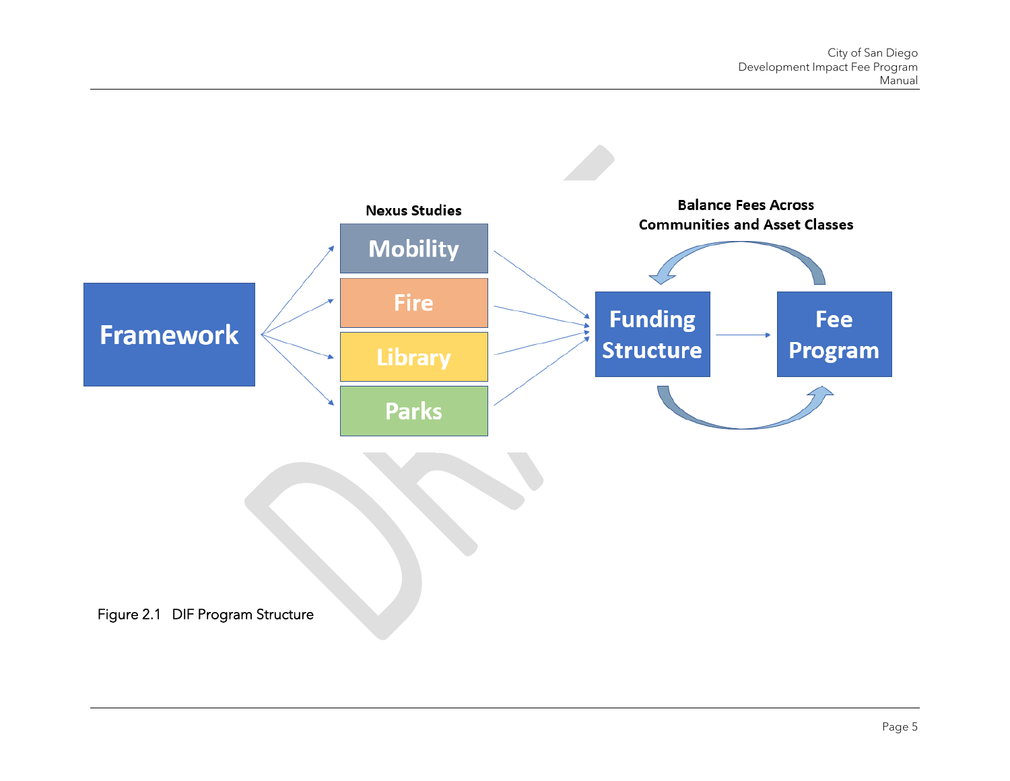<span id="page-5-0"></span>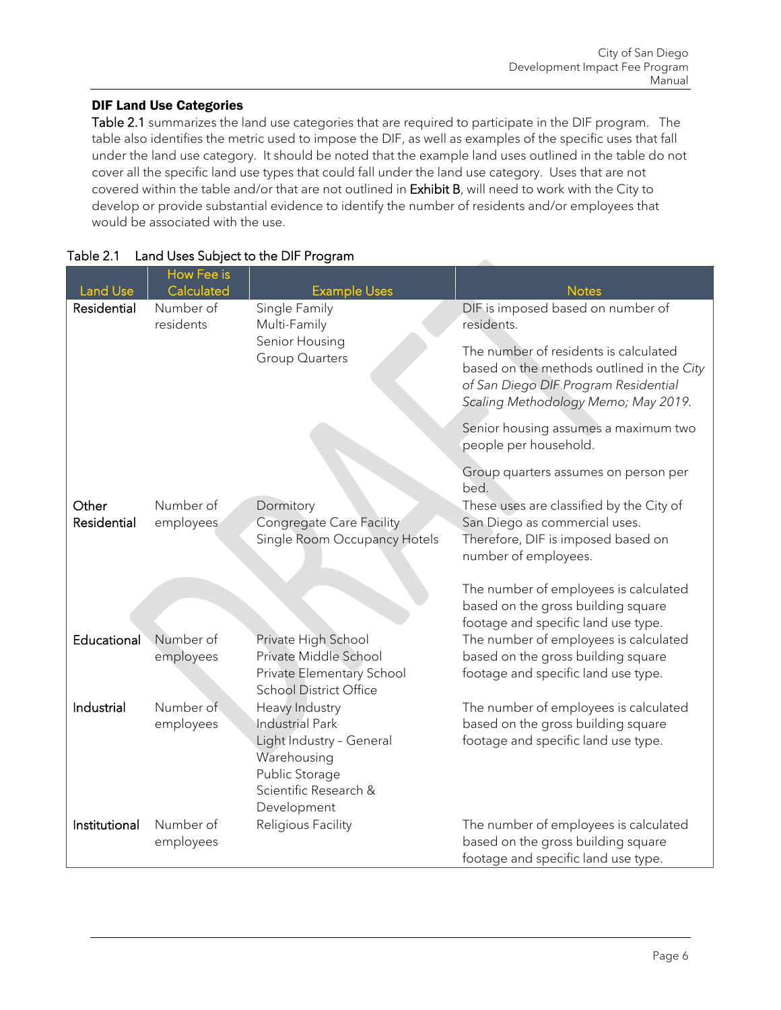### DIF Land Use Categories

Table 2.1 summarizes the land use categories that are required to participate in the DIF program. The table also identifies the metric used to impose the DIF, as well as examples of the specific uses that fall under the land use category. It should be noted that the example land uses outlined in the table do not cover all the specific land use types that could fall under the land use category. Uses that are not covered within the table and/or that are not outlined in Exhibit B, will need to work with the City to develop or provide substantial evidence to identify the number of residents and/or employees that would be associated with the use.

| <b>Land Use</b>      | <b>How Fee is</b><br>Calculated | <b>Example Uses</b>                                                                                                                    | <b>Notes</b>                                                                                                                            |  |
|----------------------|---------------------------------|----------------------------------------------------------------------------------------------------------------------------------------|-----------------------------------------------------------------------------------------------------------------------------------------|--|
| Residential          | Number of<br>residents          | Single Family<br>Multi-Family<br>Senior Housing                                                                                        | DIF is imposed based on number of<br>residents.<br>The number of residents is calculated                                                |  |
|                      |                                 | <b>Group Quarters</b>                                                                                                                  | based on the methods outlined in the City<br>of San Diego DIF Program Residential<br>Scaling Methodology Memo; May 2019.                |  |
|                      |                                 |                                                                                                                                        | Senior housing assumes a maximum two<br>people per household.                                                                           |  |
|                      |                                 |                                                                                                                                        | Group quarters assumes on person per<br>bed.                                                                                            |  |
| Other<br>Residential | Number of<br>employees          | Dormitory<br>Congregate Care Facility<br>Single Room Occupancy Hotels                                                                  | These uses are classified by the City of<br>San Diego as commercial uses.<br>Therefore, DIF is imposed based on<br>number of employees. |  |
|                      |                                 |                                                                                                                                        | The number of employees is calculated<br>based on the gross building square<br>footage and specific land use type.                      |  |
| Educational          | Number of<br>employees          | Private High School<br>Private Middle School<br>Private Elementary School<br><b>School District Office</b>                             | The number of employees is calculated<br>based on the gross building square<br>footage and specific land use type.                      |  |
| Industrial           | Number of<br>employees          | Heavy Industry<br>Industrial Park<br>Light Industry - General<br>Warehousing<br>Public Storage<br>Scientific Research &<br>Development | The number of employees is calculated<br>based on the gross building square<br>footage and specific land use type.                      |  |
| Institutional        | Number of<br>employees          | Religious Facility                                                                                                                     | The number of employees is calculated<br>based on the gross building square<br>footage and specific land use type.                      |  |

### <span id="page-6-0"></span>Table 2.1 Land Uses Subject to the DIF Program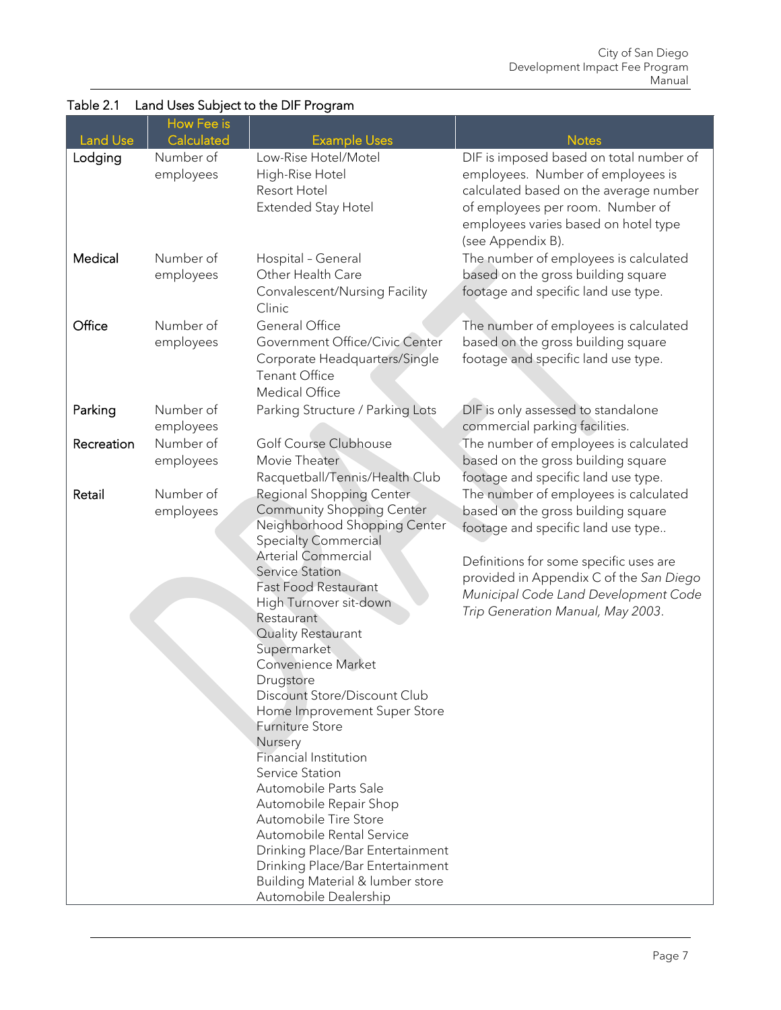|                 | How Fee is |                                                                      |                                         |
|-----------------|------------|----------------------------------------------------------------------|-----------------------------------------|
| <b>Land Use</b> | Calculated | <b>Example Uses</b>                                                  | <b>Notes</b>                            |
| Lodging         | Number of  | Low-Rise Hotel/Motel                                                 | DIF is imposed based on total number of |
|                 | employees  | High-Rise Hotel                                                      | employees. Number of employees is       |
|                 |            | Resort Hotel                                                         | calculated based on the average number  |
|                 |            | Extended Stay Hotel                                                  | of employees per room. Number of        |
|                 |            |                                                                      | employees varies based on hotel type    |
|                 |            |                                                                      | (see Appendix B).                       |
| Medical         | Number of  | Hospital - General                                                   | The number of employees is calculated   |
|                 | employees  | Other Health Care                                                    | based on the gross building square      |
|                 |            | Convalescent/Nursing Facility                                        | footage and specific land use type.     |
|                 |            | Clinic                                                               |                                         |
| Office          | Number of  | General Office                                                       | The number of employees is calculated   |
|                 | employees  | Government Office/Civic Center                                       | based on the gross building square      |
|                 |            | Corporate Headquarters/Single                                        | footage and specific land use type.     |
|                 |            | <b>Tenant Office</b>                                                 |                                         |
|                 |            | Medical Office                                                       |                                         |
| Parking         | Number of  | Parking Structure / Parking Lots                                     | DIF is only assessed to standalone      |
|                 | employees  |                                                                      | commercial parking facilities.          |
| Recreation      | Number of  | Golf Course Clubhouse                                                | The number of employees is calculated   |
|                 | employees  | Movie Theater                                                        | based on the gross building square      |
|                 |            | Racquetball/Tennis/Health Club                                       | footage and specific land use type.     |
| Retail          | Number of  | Regional Shopping Center                                             | The number of employees is calculated   |
|                 | employees  | <b>Community Shopping Center</b>                                     | based on the gross building square      |
|                 |            | Neighborhood Shopping Center                                         | footage and specific land use type      |
|                 |            | <b>Specialty Commercial</b>                                          |                                         |
|                 |            | <b>Arterial Commercial</b>                                           | Definitions for some specific uses are  |
|                 |            | <b>Service Station</b>                                               | provided in Appendix C of the San Diego |
|                 |            | <b>Fast Food Restaurant</b>                                          | Municipal Code Land Development Code    |
|                 |            | High Turnover sit-down<br>Restaurant                                 | Trip Generation Manual, May 2003.       |
|                 |            | Quality Restaurant                                                   |                                         |
|                 |            | Supermarket                                                          |                                         |
|                 |            | Convenience Market                                                   |                                         |
|                 |            | Drugstore                                                            |                                         |
|                 |            | Discount Store/Discount Club                                         |                                         |
|                 |            | Home Improvement Super Store                                         |                                         |
|                 |            | <b>Furniture Store</b>                                               |                                         |
|                 |            | Nursery                                                              |                                         |
|                 |            | Financial Institution                                                |                                         |
|                 |            | Service Station                                                      |                                         |
|                 |            | Automobile Parts Sale                                                |                                         |
|                 |            | Automobile Repair Shop                                               |                                         |
|                 |            | Automobile Tire Store                                                |                                         |
|                 |            | Automobile Rental Service                                            |                                         |
|                 |            | Drinking Place/Bar Entertainment<br>Drinking Place/Bar Entertainment |                                         |
|                 |            | Building Material & lumber store                                     |                                         |
|                 |            | Automobile Dealership                                                |                                         |

## Table 2.1 Land Uses Subject to the DIF Program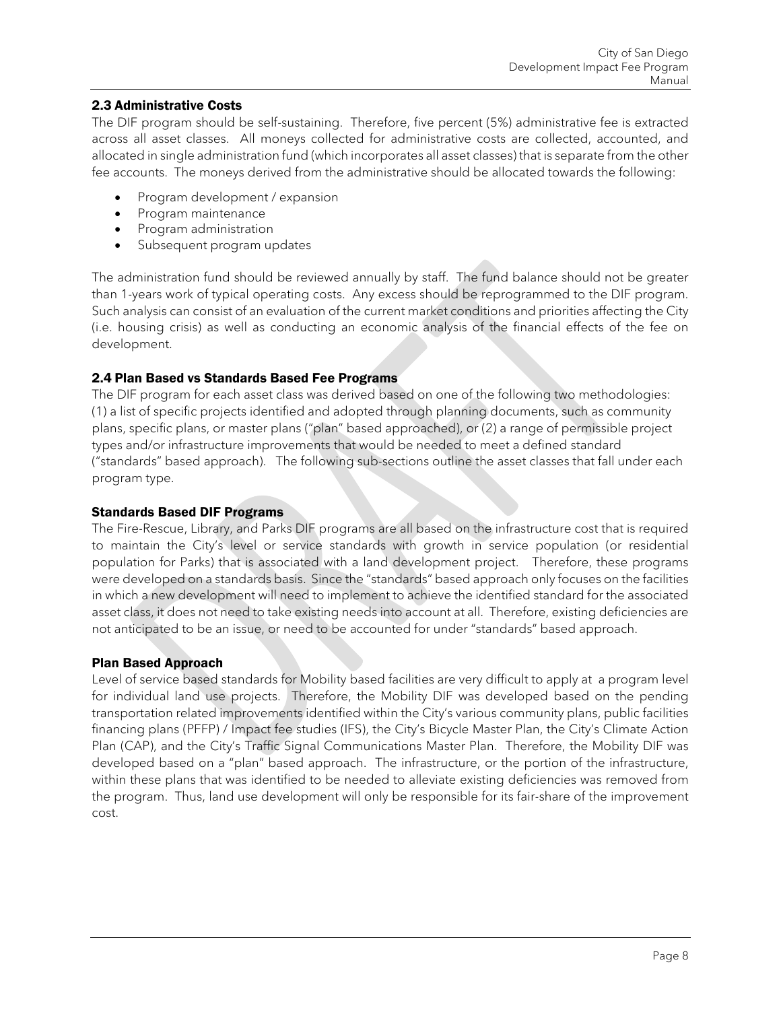### <span id="page-8-0"></span>2.3 Administrative Costs

The DIF program should be self-sustaining. Therefore, five percent (5%) administrative fee is extracted across all asset classes. All moneys collected for administrative costs are collected, accounted, and allocated in single administration fund (which incorporates all asset classes) that is separate from the other fee accounts. The moneys derived from the administrative should be allocated towards the following:

- Program development / expansion
- Program maintenance
- Program administration
- Subsequent program updates

The administration fund should be reviewed annually by staff. The fund balance should not be greater than 1-years work of typical operating costs. Any excess should be reprogrammed to the DIF program. Such analysis can consist of an evaluation of the current market conditions and priorities affecting the City (i.e. housing crisis) as well as conducting an economic analysis of the financial effects of the fee on development.

#### <span id="page-8-1"></span>2.4 Plan Based vs Standards Based Fee Programs

The DIF program for each asset class was derived based on one of the following two methodologies: (1) a list of specific projects identified and adopted through planning documents, such as community plans, specific plans, or master plans ("plan" based approached), or (2) a range of permissible project types and/or infrastructure improvements that would be needed to meet a defined standard ("standards" based approach). The following sub-sections outline the asset classes that fall under each program type.

#### Standards Based DIF Programs

The Fire-Rescue, Library, and Parks DIF programs are all based on the infrastructure cost that is required to maintain the City's level or service standards with growth in service population (or residential population for Parks) that is associated with a land development project. Therefore, these programs were developed on a standards basis. Since the "standards" based approach only focuses on the facilities in which a new development will need to implement to achieve the identified standard for the associated asset class, it does not need to take existing needs into account at all. Therefore, existing deficiencies are not anticipated to be an issue, or need to be accounted for under "standards" based approach.

#### Plan Based Approach

Level of service based standards for Mobility based facilities are very difficult to apply at a program level for individual land use projects. Therefore, the Mobility DIF was developed based on the pending transportation related improvements identified within the City's various community plans, public facilities financing plans (PFFP) / Impact fee studies (IFS), the City's Bicycle Master Plan, the City's Climate Action Plan (CAP), and the City's Traffic Signal Communications Master Plan. Therefore, the Mobility DIF was developed based on a "plan" based approach. The infrastructure, or the portion of the infrastructure, within these plans that was identified to be needed to alleviate existing deficiencies was removed from the program. Thus, land use development will only be responsible for its fair-share of the improvement cost.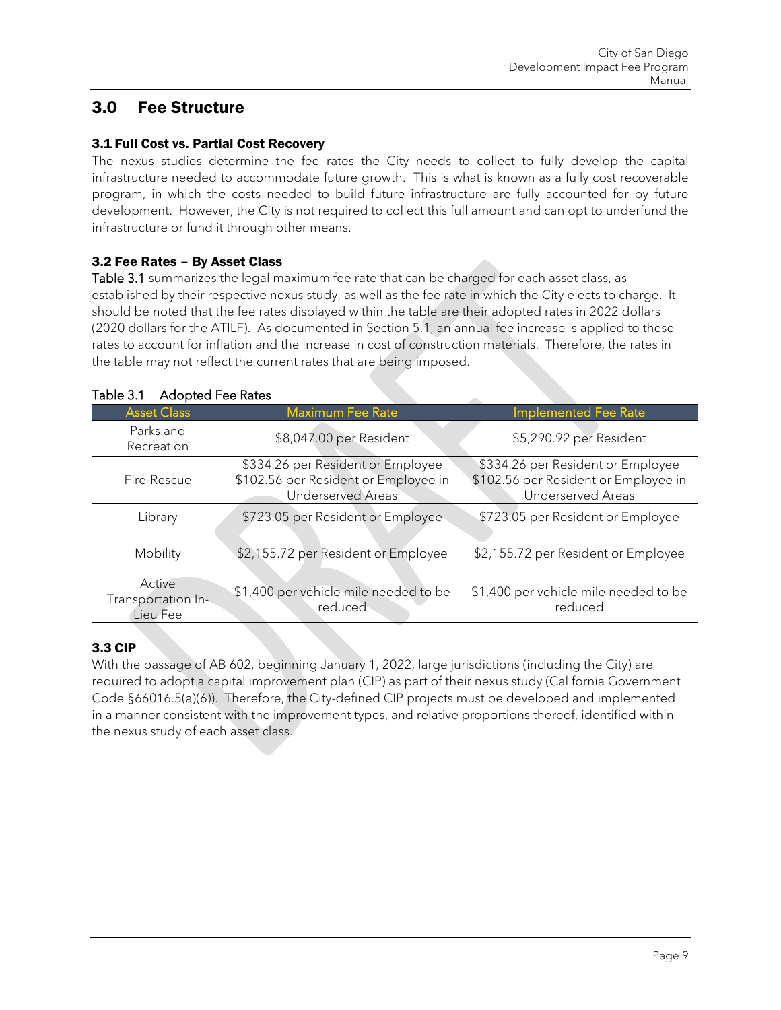## <span id="page-9-0"></span>3.0 Fee Structure

### <span id="page-9-1"></span>3.1 Full Cost vs. Partial Cost Recovery

The nexus studies determine the fee rates the City needs to collect to fully develop the capital infrastructure needed to accommodate future growth. This is what is known as a fully cost recoverable program, in which the costs needed to build future infrastructure are fully accounted for by future development. However, the City is not required to collect this full amount and can opt to underfund the infrastructure or fund it through other means.

### <span id="page-9-2"></span>3.2 Fee Rates – By Asset Class

Table 3.1 summarizes the legal maximum fee rate that can be charged for each asset class, as established by their respective nexus study, as well as the fee rate in which the City elects to charge. It should be noted that the fee rates displayed within the table are their adopted rates in 2022 dollars (2020 dollars for the ATILF). As documented in Section 5.1, an annual fee increase is applied to these rates to account for inflation and the increase in cost of construction materials. Therefore, the rates in the table may not reflect the current rates that are being imposed.

| <b>Asset Class</b>                       | <b>Maximum Fee Rate</b>                                                                               | <b>Implemented Fee Rate</b>                                                                           |
|------------------------------------------|-------------------------------------------------------------------------------------------------------|-------------------------------------------------------------------------------------------------------|
| Parks and<br>Recreation                  | \$8,047.00 per Resident                                                                               | \$5,290.92 per Resident                                                                               |
| Fire-Rescue                              | \$334.26 per Resident or Employee<br>\$102.56 per Resident or Employee in<br><b>Underserved Areas</b> | \$334.26 per Resident or Employee<br>\$102.56 per Resident or Employee in<br><b>Underserved Areas</b> |
| Library                                  | \$723.05 per Resident or Employee                                                                     | \$723.05 per Resident or Employee                                                                     |
| <b>Mobility</b>                          | \$2,155.72 per Resident or Employee                                                                   | \$2,155.72 per Resident or Employee                                                                   |
| Active<br>Transportation In-<br>Lieu Fee | \$1,400 per vehicle mile needed to be<br>reduced                                                      | \$1,400 per vehicle mile needed to be<br>reduced                                                      |

### <span id="page-9-4"></span>Table 3.1 Adopted Fee Rates

## <span id="page-9-3"></span>3.3 CIP

With the passage of AB 602, beginning January 1, 2022, large jurisdictions (including the City) are required to adopt a capital improvement plan (CIP) as part of their nexus study (California Government Code §66016.5(a)(6)). Therefore, the City-defined CIP projects must be developed and implemented in a manner consistent with the improvement types, and relative proportions thereof, identified within the nexus study of each asset class.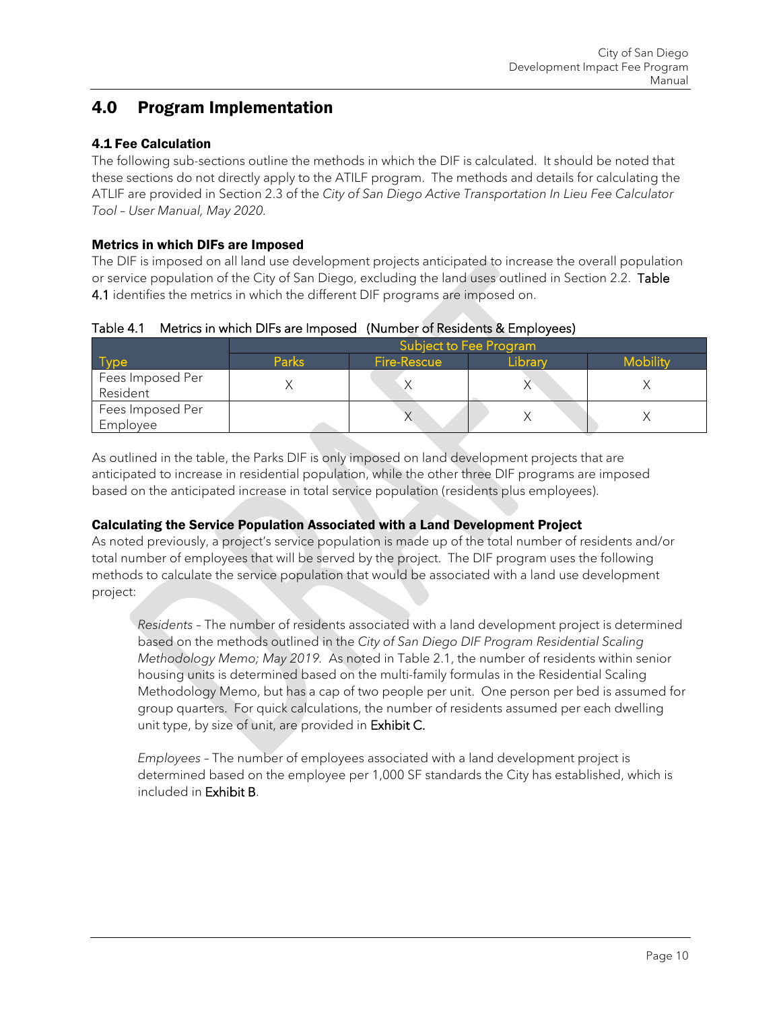## <span id="page-10-0"></span>4.0 Program Implementation

## <span id="page-10-1"></span>4.1 Fee Calculation

The following sub-sections outline the methods in which the DIF is calculated. It should be noted that these sections do not directly apply to the ATILF program. The methods and details for calculating the ATLIF are provided in Section 2.3 of the *City of San Diego Active Transportation In Lieu Fee Calculator Tool – User Manual, May 2020.*

### Metrics in which DIFs are Imposed

The DIF is imposed on all land use development projects anticipated to increase the overall population or service population of the City of San Diego, excluding the land uses outlined in Section 2.2. Table 4.1 identifies the metrics in which the different DIF programs are imposed on.

<span id="page-10-2"></span>

|  | Table 4.1 Metrics in which DIFs are Imposed (Number of Residents & Employees) |  |  |  |
|--|-------------------------------------------------------------------------------|--|--|--|
|--|-------------------------------------------------------------------------------|--|--|--|

|                              | Subject to Fee Program |                    |         |                 |  |
|------------------------------|------------------------|--------------------|---------|-----------------|--|
|                              | <b>Parks</b>           | <b>Fire-Rescue</b> | Library | <b>Mobility</b> |  |
| Fees Imposed Per<br>Resident |                        |                    |         |                 |  |
| Fees Imposed Per<br>Employee |                        |                    |         |                 |  |

As outlined in the table, the Parks DIF is only imposed on land development projects that are anticipated to increase in residential population, while the other three DIF programs are imposed based on the anticipated increase in total service population (residents plus employees).

### Calculating the Service Population Associated with a Land Development Project

As noted previously, a project's service population is made up of the total number of residents and/or total number of employees that will be served by the project. The DIF program uses the following methods to calculate the service population that would be associated with a land use development project:

*Residents* – The number of residents associated with a land development project is determined based on the methods outlined in the *City of San Diego DIF Program Residential Scaling Methodology Memo; May 2019.* As noted in Table 2.1, the number of residents within senior housing units is determined based on the multi-family formulas in the Residential Scaling Methodology Memo, but has a cap of two people per unit. One person per bed is assumed for group quarters. For quick calculations, the number of residents assumed per each dwelling unit type, by size of unit, are provided in Exhibit C.

*Employees* – The number of employees associated with a land development project is determined based on the employee per 1,000 SF standards the City has established, which is included in Exhibit B.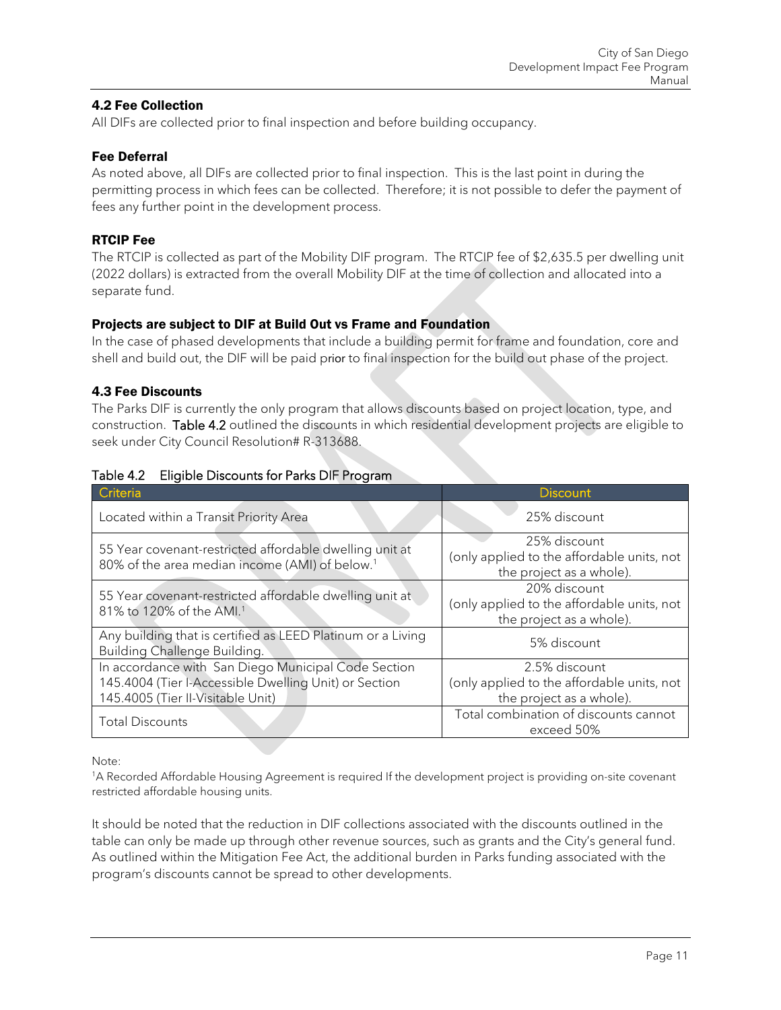### <span id="page-11-0"></span>4.2 Fee Collection

All DIFs are collected prior to final inspection and before building occupancy.

#### Fee Deferral

As noted above, all DIFs are collected prior to final inspection. This is the last point in during the permitting process in which fees can be collected. Therefore; it is not possible to defer the payment of fees any further point in the development process.

### RTCIP Fee

The RTCIP is collected as part of the Mobility DIF program. The RTCIP fee of \$2,635.5 per dwelling unit (2022 dollars) is extracted from the overall Mobility DIF at the time of collection and allocated into a separate fund.

### Projects are subject to DIF at Build Out vs Frame and Foundation

In the case of phased developments that include a building permit for frame and foundation, core and shell and build out, the DIF will be paid prior to final inspection for the build out phase of the project.

#### <span id="page-11-1"></span>4.3 Fee Discounts

The Parks DIF is currently the only program that allows discounts based on project location, type, and construction. Table 4.2 outlined the discounts in which residential development projects are eligible to seek under City Council Resolution# R-313688.

| Criteria                                                                                                                                          | <b>Discount</b>                                                                         |
|---------------------------------------------------------------------------------------------------------------------------------------------------|-----------------------------------------------------------------------------------------|
| Located within a Transit Priority Area                                                                                                            | 25% discount                                                                            |
| 55 Year covenant-restricted affordable dwelling unit at<br>80% of the area median income (AMI) of below. <sup>1</sup>                             | 25% discount<br>(only applied to the affordable units, not<br>the project as a whole).  |
| 55 Year covenant-restricted affordable dwelling unit at<br>81% to 120% of the AMI. <sup>1</sup>                                                   | 20% discount<br>(only applied to the affordable units, not<br>the project as a whole).  |
| Any building that is certified as LEED Platinum or a Living<br>Building Challenge Building.                                                       | 5% discount                                                                             |
| In accordance with San Diego Municipal Code Section<br>145.4004 (Tier I-Accessible Dwelling Unit) or Section<br>145.4005 (Tier II-Visitable Unit) | 2.5% discount<br>(only applied to the affordable units, not<br>the project as a whole). |
| <b>Total Discounts</b>                                                                                                                            | Total combination of discounts cannot<br>exceed 50%                                     |

#### <span id="page-11-2"></span>Table 4.2 Eligible Discounts for Parks DIF Program

Note:

1A Recorded Affordable Housing Agreement is required If the development project is providing on-site covenant restricted affordable housing units.

It should be noted that the reduction in DIF collections associated with the discounts outlined in the table can only be made up through other revenue sources, such as grants and the City's general fund. As outlined within the Mitigation Fee Act, the additional burden in Parks funding associated with the program's discounts cannot be spread to other developments.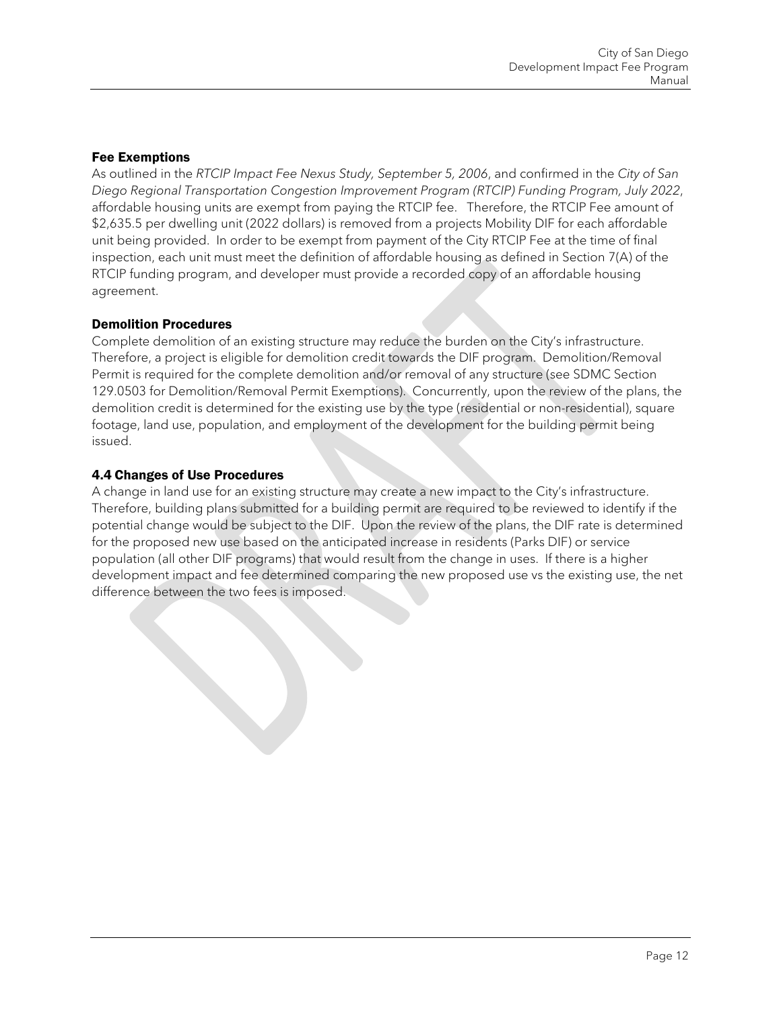### Fee Exemptions

As outlined in the *RTCIP Impact Fee Nexus Study, September 5, 2006*, and confirmed in the *City of San Diego Regional Transportation Congestion Improvement Program (RTCIP) Funding Program, July 2022*, affordable housing units are exempt from paying the RTCIP fee. Therefore, the RTCIP Fee amount of \$2,635.5 per dwelling unit (2022 dollars) is removed from a projects Mobility DIF for each affordable unit being provided. In order to be exempt from payment of the City RTCIP Fee at the time of final inspection, each unit must meet the definition of affordable housing as defined in Section 7(A) of the RTCIP funding program, and developer must provide a recorded copy of an affordable housing agreement.

### Demolition Procedures

Complete demolition of an existing structure may reduce the burden on the City's infrastructure. Therefore, a project is eligible for demolition credit towards the DIF program. Demolition/Removal Permit is required for the complete demolition and/or removal of any structure (see SDMC Section 129.0503 for Demolition/Removal Permit Exemptions). Concurrently, upon the review of the plans, the demolition credit is determined for the existing use by the type (residential or non-residential), square footage, land use, population, and employment of the development for the building permit being issued.

### <span id="page-12-0"></span>4.4 Changes of Use Procedures

A change in land use for an existing structure may create a new impact to the City's infrastructure. Therefore, building plans submitted for a building permit are required to be reviewed to identify if the potential change would be subject to the DIF. Upon the review of the plans, the DIF rate is determined for the proposed new use based on the anticipated increase in residents (Parks DIF) or service population (all other DIF programs) that would result from the change in uses. If there is a higher development impact and fee determined comparing the new proposed use vs the existing use, the net difference between the two fees is imposed.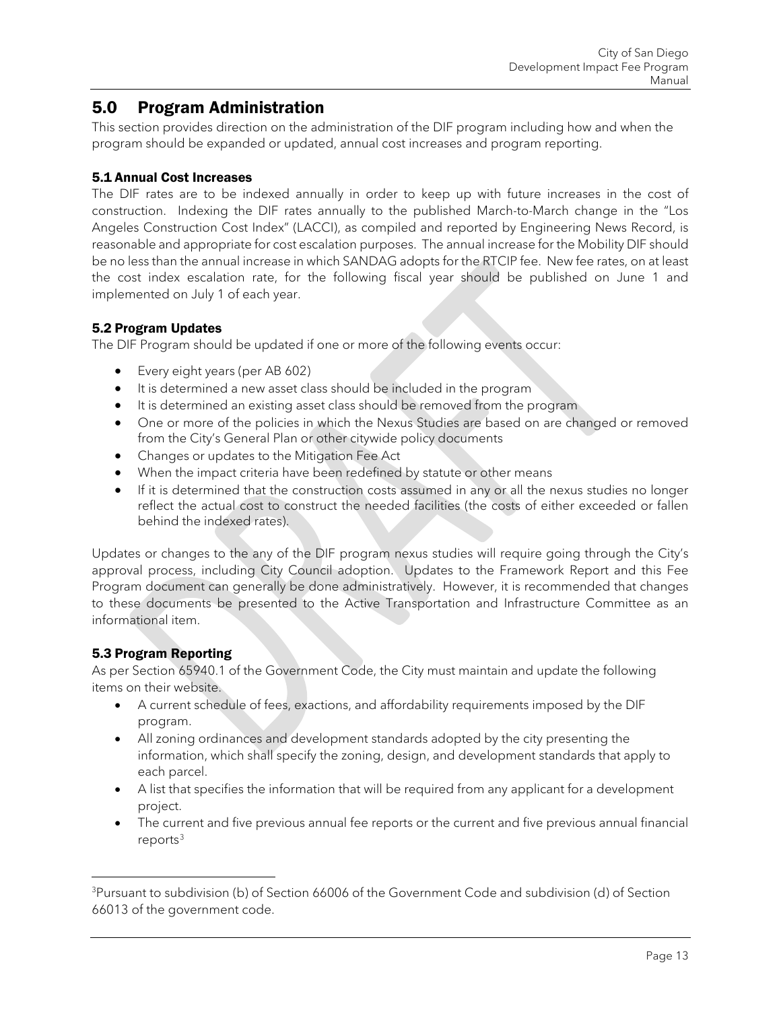## <span id="page-13-0"></span>5.0 Program Administration

This section provides direction on the administration of the DIF program including how and when the program should be expanded or updated, annual cost increases and program reporting.

### <span id="page-13-1"></span>5.1 Annual Cost Increases

The DIF rates are to be indexed annually in order to keep up with future increases in the cost of construction. Indexing the DIF rates annually to the published March-to-March change in the "Los Angeles Construction Cost Index" (LACCI), as compiled and reported by Engineering News Record, is reasonable and appropriate for cost escalation purposes. The annual increase for the Mobility DIF should be no less than the annual increase in which SANDAG adopts for the RTCIP fee. New fee rates, on at least the cost index escalation rate, for the following fiscal year should be published on June 1 and implemented on July 1 of each year.

### <span id="page-13-2"></span>5.2 Program Updates

The DIF Program should be updated if one or more of the following events occur:

- Every eight years (per AB 602)
- It is determined a new asset class should be included in the program
- It is determined an existing asset class should be removed from the program
- One or more of the policies in which the Nexus Studies are based on are changed or removed from the City's General Plan or other citywide policy documents
- Changes or updates to the Mitigation Fee Act
- When the impact criteria have been redefined by statute or other means
- If it is determined that the construction costs assumed in any or all the nexus studies no longer reflect the actual cost to construct the needed facilities (the costs of either exceeded or fallen behind the indexed rates).

Updates or changes to the any of the DIF program nexus studies will require going through the City's approval process, including City Council adoption. Updates to the Framework Report and this Fee Program document can generally be done administratively. However, it is recommended that changes to these documents be presented to the Active Transportation and Infrastructure Committee as an informational item.

## <span id="page-13-3"></span>5.3 Program Reporting

As per Section 65940.1 of the Government Code, the City must maintain and update the following items on their website.

- A current schedule of fees, exactions, and affordability requirements imposed by the DIF program.
- All zoning ordinances and development standards adopted by the city presenting the information, which shall specify the zoning, design, and development standards that apply to each parcel.
- A list that specifies the information that will be required from any applicant for a development project.
- The current and five previous annual fee reports or the current and five previous annual financial  $reports<sup>3</sup>$  $reports<sup>3</sup>$  $reports<sup>3</sup>$

<span id="page-13-4"></span><sup>&</sup>lt;sup>3</sup>Pursuant to subdivision (b) of Section 66006 of the Government Code and subdivision (d) of Section 66013 of the government code.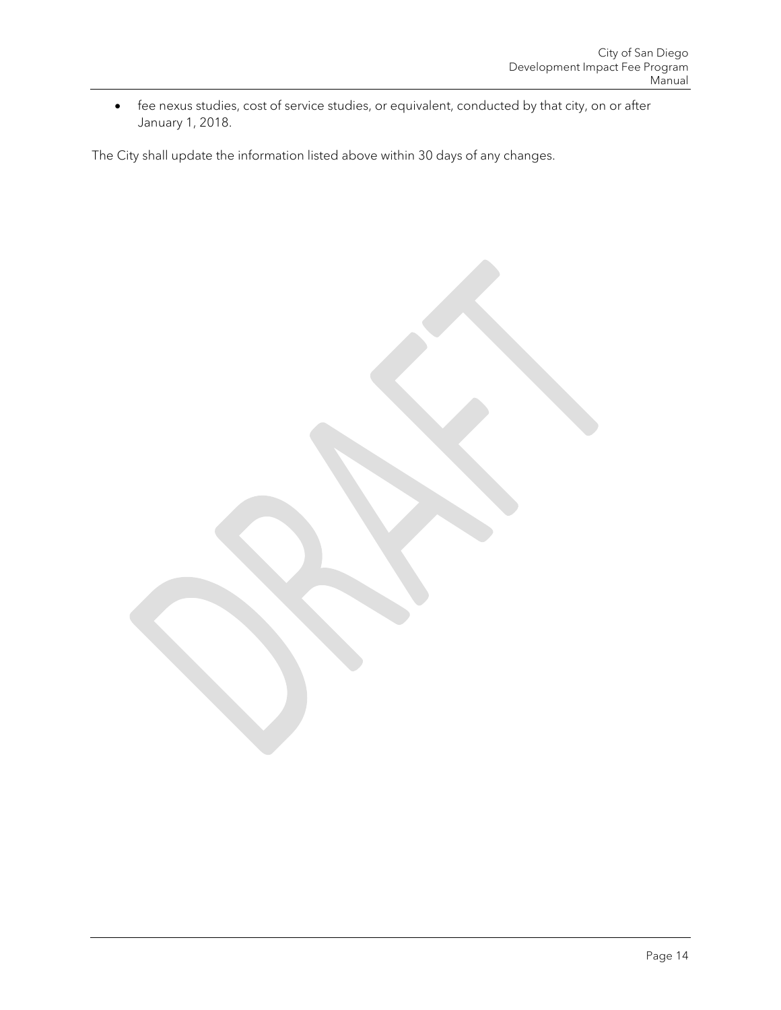• fee nexus studies, cost of service studies, or equivalent, conducted by that city, on or after January 1, 2018.

The City shall update the information listed above within 30 days of any changes.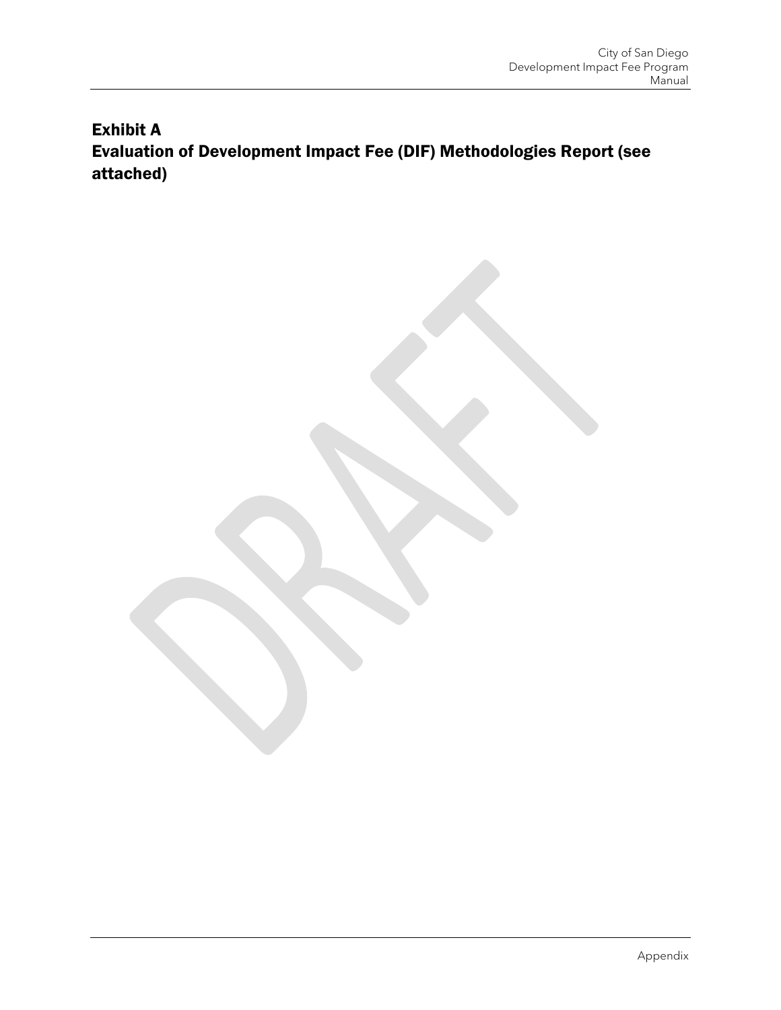# Exhibit A Evaluation of Development Impact Fee (DIF) Methodologies Report (see attached)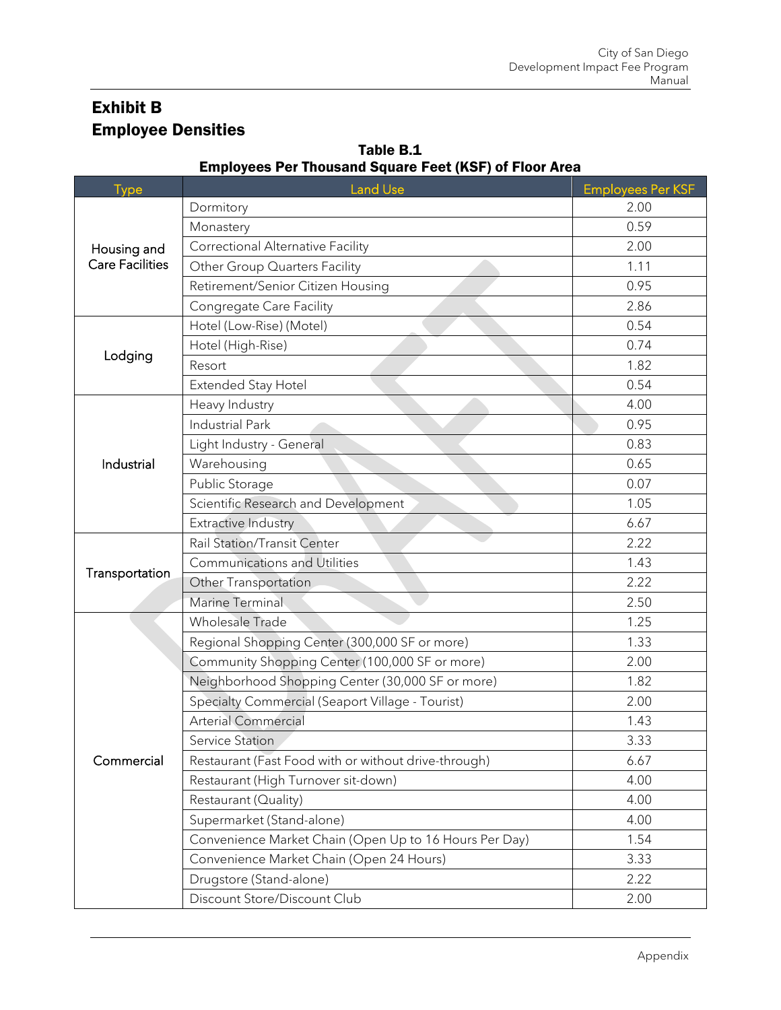# Exhibit B Employee Densities

| <b>Type</b>            | EIIIpioyees Fer Thousand Square Feet (NSF) or Floor Alea<br><b>Land Use</b> | <b>Employees Per KSF</b> |
|------------------------|-----------------------------------------------------------------------------|--------------------------|
|                        | Dormitory                                                                   | 2.00                     |
|                        | Monastery                                                                   | 0.59                     |
| Housing and            | <b>Correctional Alternative Facility</b>                                    | 2.00                     |
| <b>Care Facilities</b> | Other Group Quarters Facility                                               | 1.11                     |
|                        | Retirement/Senior Citizen Housing                                           | 0.95                     |
|                        | Congregate Care Facility                                                    | 2.86                     |
|                        | Hotel (Low-Rise) (Motel)                                                    | 0.54                     |
|                        | Hotel (High-Rise)                                                           | 0.74                     |
| Lodging                | Resort                                                                      | 1.82                     |
|                        | Extended Stay Hotel                                                         | 0.54                     |
|                        | Heavy Industry                                                              | 4.00                     |
|                        | <b>Industrial Park</b>                                                      | 0.95                     |
|                        | Light Industry - General                                                    | 0.83                     |
| Industrial             | Warehousing                                                                 | 0.65                     |
|                        | Public Storage                                                              | 0.07                     |
|                        | Scientific Research and Development                                         | 1.05                     |
|                        | <b>Extractive Industry</b>                                                  | 6.67                     |
|                        | Rail Station/Transit Center                                                 | 2.22                     |
| Transportation         | <b>Communications and Utilities</b>                                         | 1.43                     |
|                        | Other Transportation                                                        | 2.22                     |
|                        | Marine Terminal                                                             | 2.50                     |
|                        | Wholesale Trade                                                             | 1.25                     |
|                        | Regional Shopping Center (300,000 SF or more)                               | 1.33                     |
|                        | Community Shopping Center (100,000 SF or more)                              | 2.00                     |
|                        | Neighborhood Shopping Center (30,000 SF or more)                            | 1.82                     |
|                        | Specialty Commercial (Seaport Village - Tourist)                            | 2.00                     |
|                        | <b>Arterial Commercial</b>                                                  | 1.43                     |
|                        | Service Station                                                             | 3.33                     |
| Commercial             | Restaurant (Fast Food with or without drive-through)                        | 6.67                     |
|                        | Restaurant (High Turnover sit-down)                                         | 4.00                     |
|                        | Restaurant (Quality)                                                        | 4.00                     |
|                        | Supermarket (Stand-alone)                                                   | 4.00                     |
|                        | Convenience Market Chain (Open Up to 16 Hours Per Day)                      | 1.54                     |
|                        | Convenience Market Chain (Open 24 Hours)                                    | 3.33                     |
|                        | Drugstore (Stand-alone)                                                     | 2.22                     |
|                        | Discount Store/Discount Club                                                | 2.00                     |

### Table B.1 Employees Per Thousand Square Feet (KSF) of Floor Area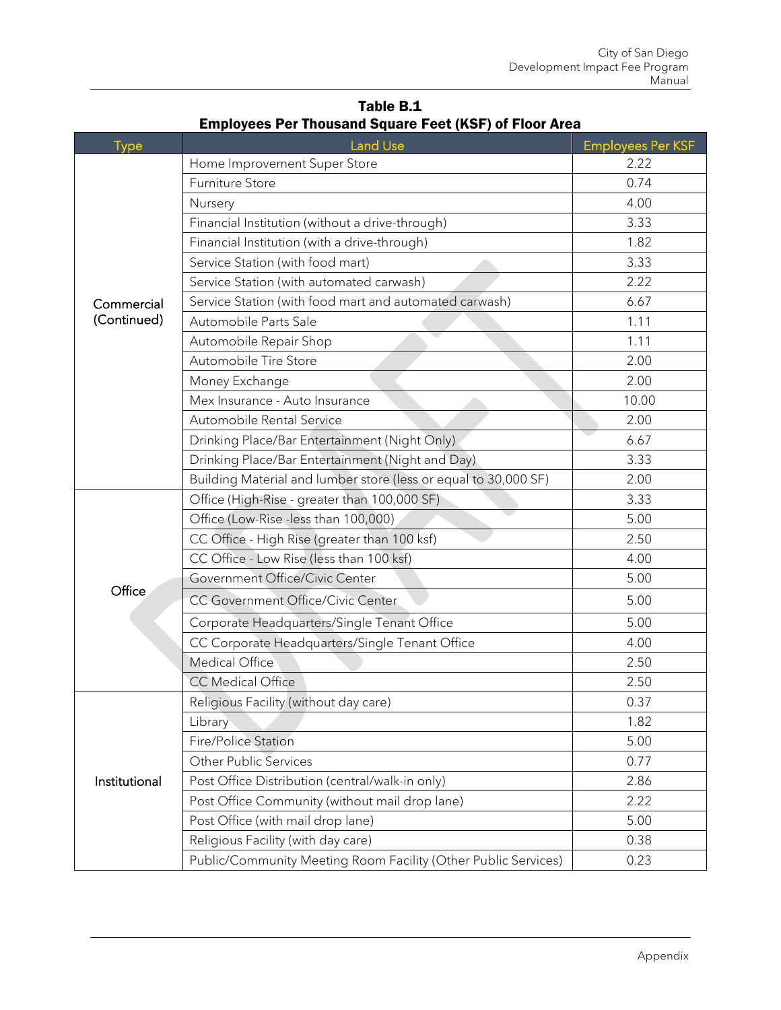| <b>Type</b>   | <b>Land Use</b>                                                 | <b>Employees Per KSF</b> |
|---------------|-----------------------------------------------------------------|--------------------------|
|               | Home Improvement Super Store                                    | 2.22                     |
|               | Furniture Store                                                 | 0.74                     |
|               | Nursery                                                         | 4.00                     |
|               | Financial Institution (without a drive-through)                 | 3.33                     |
|               | Financial Institution (with a drive-through)                    | 1.82                     |
|               | Service Station (with food mart)                                | 3.33                     |
|               | Service Station (with automated carwash)                        | 2.22                     |
| Commercial    | Service Station (with food mart and automated carwash)          | 6.67                     |
| (Continued)   | Automobile Parts Sale                                           | 1.11                     |
|               | Automobile Repair Shop                                          | 1.11                     |
|               | Automobile Tire Store                                           | 2.00                     |
|               | Money Exchange                                                  | 2.00                     |
|               | Mex Insurance - Auto Insurance                                  | 10.00                    |
|               | Automobile Rental Service                                       | 2.00                     |
|               | Drinking Place/Bar Entertainment (Night Only)                   | 6.67                     |
|               | Drinking Place/Bar Entertainment (Night and Day)                | 3.33                     |
|               | Building Material and lumber store (less or equal to 30,000 SF) | 2.00                     |
|               | Office (High-Rise - greater than 100,000 SF)                    | 3.33                     |
|               | Office (Low-Rise -less than 100,000)                            | 5.00                     |
|               | CC Office - High Rise (greater than 100 ksf)                    | 2.50                     |
|               | CC Office - Low Rise (less than 100 ksf)                        | 4.00                     |
|               | Government Office/Civic Center                                  | 5.00                     |
| Office        | CC Government Office/Civic Center                               | 5.00                     |
|               | Corporate Headquarters/Single Tenant Office                     | 5.00                     |
|               | CC Corporate Headquarters/Single Tenant Office                  | 4.00                     |
|               | <b>Medical Office</b>                                           | 2.50                     |
|               | <b>CC Medical Office</b>                                        | 2.50                     |
|               | Religious Facility (without day care)                           | 0.37                     |
|               | Library                                                         | 1.82                     |
|               | <b>Fire/Police Station</b>                                      | 5.00                     |
|               | <b>Other Public Services</b>                                    | 0.77                     |
| Institutional | Post Office Distribution (central/walk-in only)                 | 2.86                     |
|               | Post Office Community (without mail drop lane)                  | 2.22                     |
|               | Post Office (with mail drop lane)                               | 5.00                     |
|               | Religious Facility (with day care)                              | 0.38                     |
|               | Public/Community Meeting Room Facility (Other Public Services)  | 0.23                     |

Table B.1 Employees Per Thousand Square Feet (KSF) of Floor Area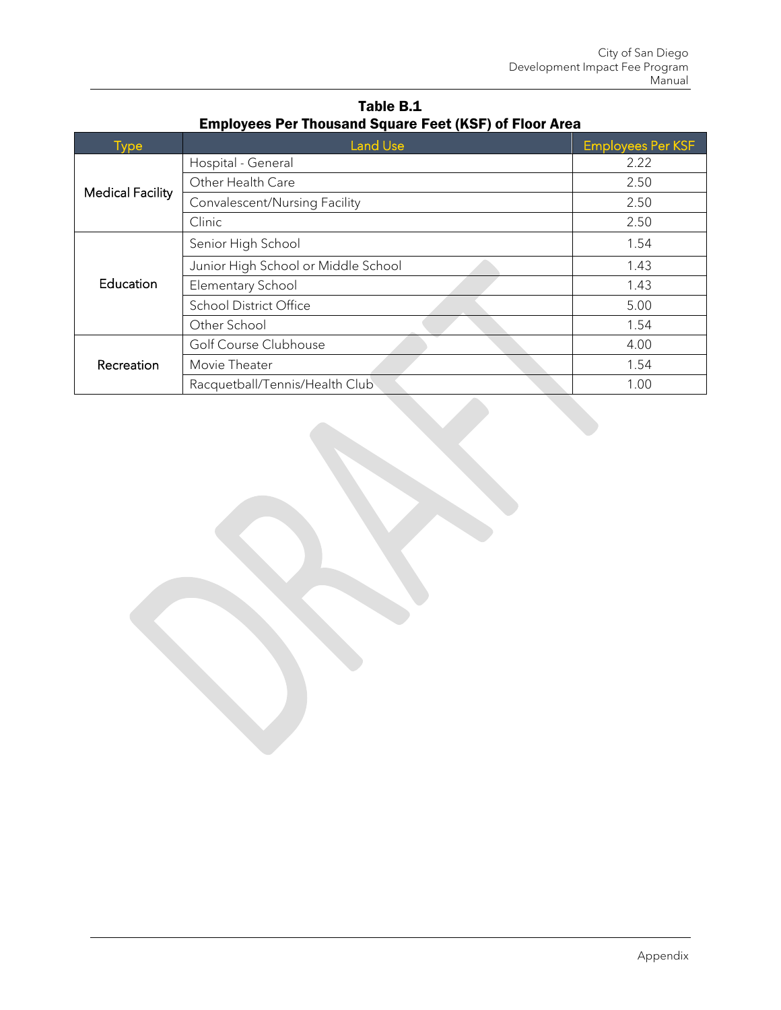| <b>Type</b>             | <b>Land Use</b>                     | <b>Employees Per KSF</b> |
|-------------------------|-------------------------------------|--------------------------|
| <b>Medical Facility</b> | Hospital - General                  | 2.22                     |
|                         | Other Health Care                   | 2.50                     |
|                         | Convalescent/Nursing Facility       | 2.50                     |
|                         | Clinic                              | 2.50                     |
| Education               | Senior High School                  | 1.54                     |
|                         | Junior High School or Middle School | 1.43                     |
|                         | Elementary School                   | 1.43                     |
|                         | <b>School District Office</b>       | 5.00                     |
|                         | Other School                        | 1.54                     |
| Recreation              | Golf Course Clubhouse               | 4.00                     |
|                         | Movie Theater                       | 1.54                     |
|                         | Racquetball/Tennis/Health Club      | 1.00                     |

Table B.1 Employees Per Thousand Square Feet (KSF) of Floor Area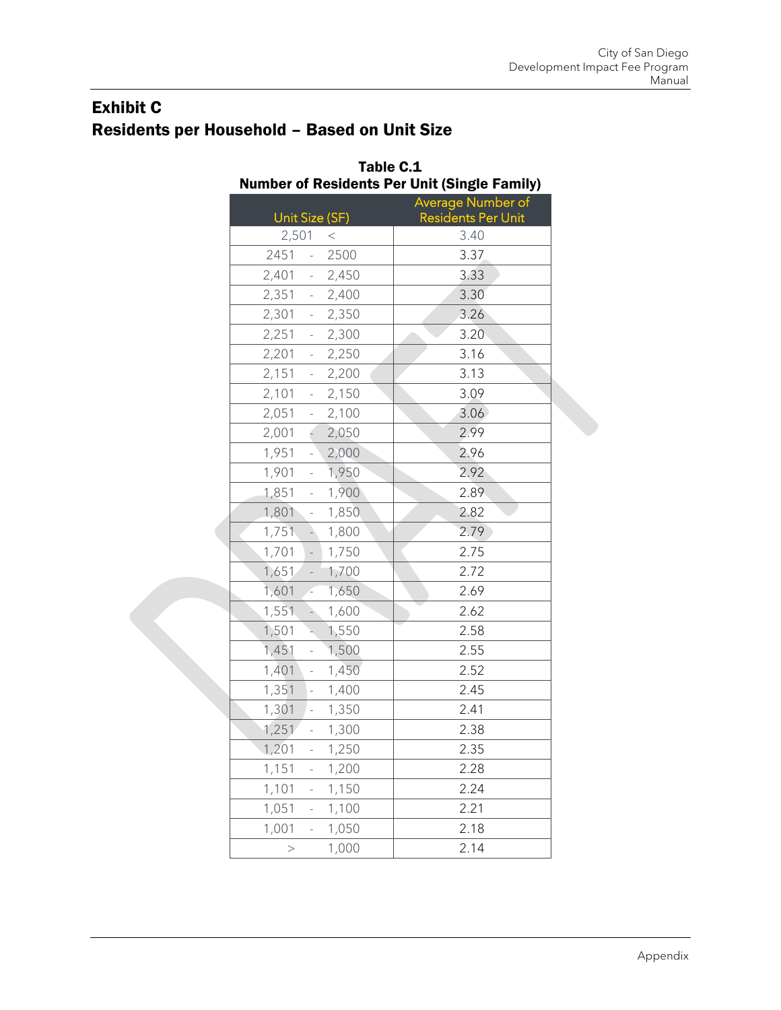# Exhibit C Residents per Household – Based on Unit Size

|                                               | Table C.1<br><b>Number of Residents Per Unit (Single Family)</b> |  |  |
|-----------------------------------------------|------------------------------------------------------------------|--|--|
|                                               | Average Number of                                                |  |  |
| Unit Size (SF)                                | <b>Residents Per Unit</b>                                        |  |  |
| 2,501<br>$<\,$<br>2451<br>2500                | 3.40                                                             |  |  |
| $\omega_{\rm{eff}}$<br>2,401 - 2,450          | 3.37<br>3.33                                                     |  |  |
| 2,351<br>$-2,400$                             | 3.30                                                             |  |  |
| 2,301<br>$-2,350$                             | 3.26                                                             |  |  |
| 2,251 - 2,300                                 | 3.20                                                             |  |  |
| 2,201<br>2,250<br>$\omega_{\rm{max}}$         | 3.16                                                             |  |  |
| $-2,200$<br>2,151                             | 3.13                                                             |  |  |
| 2,101<br>$-2,150$                             | 3.09                                                             |  |  |
| 2,051<br>$-2,100$                             | 3.06                                                             |  |  |
| 2,001<br>$-2,050$                             | 2.99                                                             |  |  |
| 1,951<br>2,000<br>$\mathcal{L}^{\mathcal{A}}$ | 2.96                                                             |  |  |
| $-1,950$<br>1,901                             | 2.92                                                             |  |  |
| 1,900<br>1,851<br>$\omega_{\rm{eff}}$         | 2.89                                                             |  |  |
| 1,850<br>1,801<br>$\sim$                      | 2.82                                                             |  |  |
| 1,751<br>1,800<br>$\Delta$                    | 2.79                                                             |  |  |
| 1,701<br>1,750<br>$\sim$ $^{-1}$              | 2.75                                                             |  |  |
| 1,651<br>$-1,700$                             | 2.72                                                             |  |  |
| 1,601<br>1,650<br>y.                          | 2.69                                                             |  |  |
| 1,551<br>$-1,600$                             | 2.62                                                             |  |  |
| 1,501<br>1,550<br>k,                          | 2.58                                                             |  |  |
| 1,451<br>$-1,500$                             | 2.55                                                             |  |  |
| 1,401<br>$-1,450$                             | 2.52                                                             |  |  |
| 1,351<br>1,400<br>$\omega_{\rm{eff}}$         | 2.45                                                             |  |  |
| 1,301<br>1,350<br>$\overline{\phantom{a}}$    | 2.41                                                             |  |  |
| 1,251<br>1,300                                | 2.38                                                             |  |  |
| 1,201<br>1,250<br>$\overline{\phantom{a}}$    | 2.35                                                             |  |  |
| 1,151<br>1,200<br>$\overline{\phantom{a}}$    | 2.28                                                             |  |  |
| 1,101<br>1,150<br>$\sim$                      | 2.24                                                             |  |  |
| 1,051<br>1,100                                | 2.21                                                             |  |  |
| 1,001<br>1,050                                | 2.18                                                             |  |  |
| 1,000<br>$\,>$                                | 2.14                                                             |  |  |